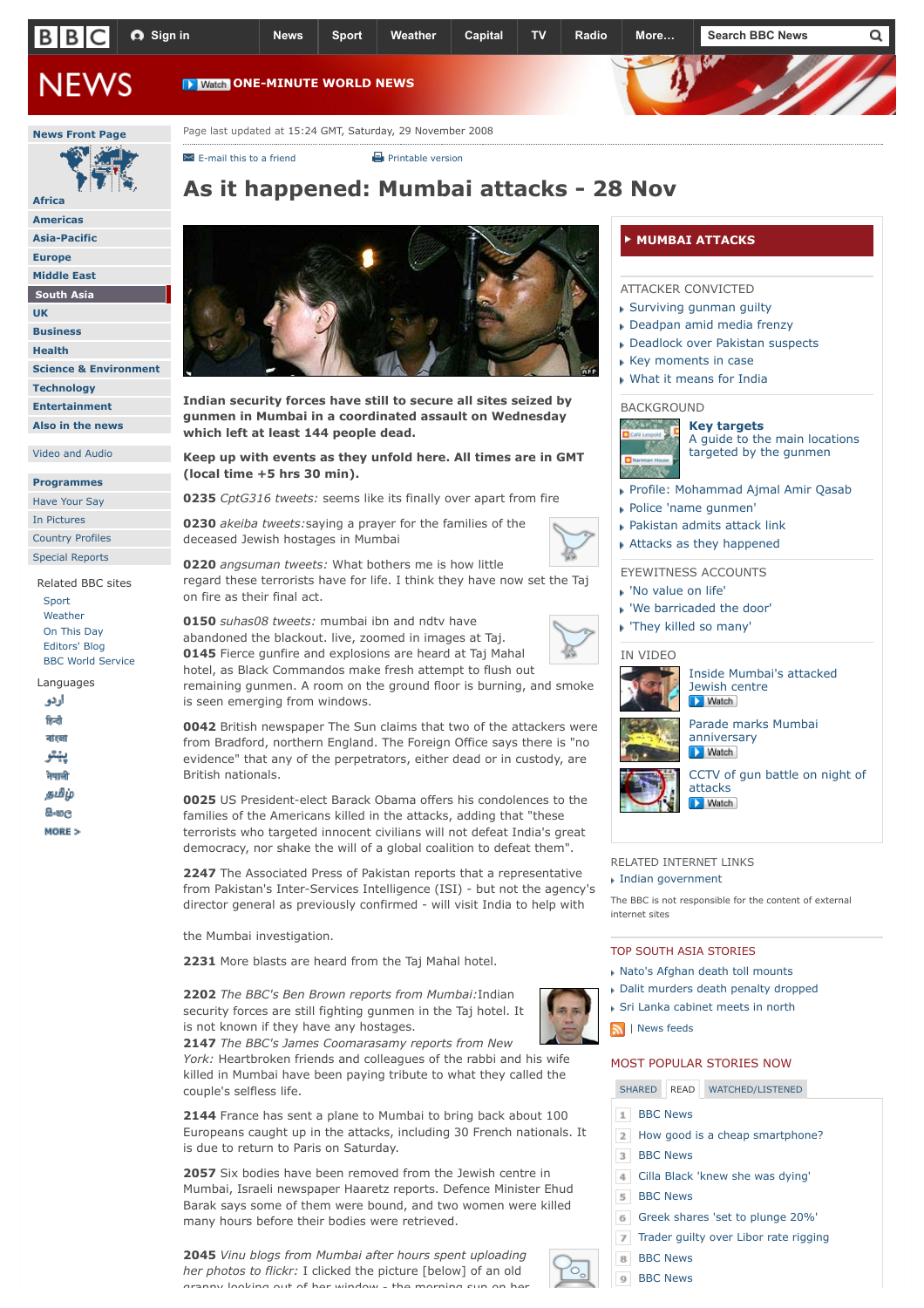

# **As it happened: Mumbai attacks - 28 Nov**



[Video and Audio](http://news.bbc.co.uk/2/hi/video_and_audio/default.stm)

#### **[Programmes](http://news.bbc.co.uk/2/hi/programmes/default.stm)**

[Have Your Say](http://news.bbc.co.uk/2/hi/talking_point/default.stm) [In Pictures](http://news.bbc.co.uk/2/hi/in_pictures/default.stm) [Country Profiles](http://news.bbc.co.uk/2/hi/country_profiles/default.stm) [Special Reports](http://news.bbc.co.uk/2/hi/in_depth/default.stm)

Related BBC sites [Sport](http://news.bbc.co.uk/sport1/hi/default.stm) [Weather](http://www.bbc.co.uk/weather/) [On This Day](http://www.bbc.co.uk/onthisday) [Editors' Blog](http://www.bbc.co.uk/blogs/theeditors/) [BBC World Service](http://www.bbc.co.uk/worldservice/)

Languages اردو .<br>रिन्दी बारवा يهتو नेपाली தமிழ் கேஜ MORE >



**Indian security forces have still to secure all sites seized by gunmen in Mumbai in a coordinated assault on Wednesday which left at least 144 people dead.**

**Keep up with events as they unfold here. All times are in GMT (local time +5 hrs 30 min).**

**0235** *CptG316 tweets:* seems like its finally over apart from fire

**0230** *akeiba tweets:*saying a prayer for the families of the deceased Jewish hostages in Mumbai

**0220** *angsuman tweets:* What bothers me is how little regard these terrorists have for life. I think they have now set the Taj on fire as their final act.

**0150** *suhas08 tweets:* mumbai ibn and ndtv have abandoned the blackout. live, zoomed in images at Taj. **0145** Fierce gunfire and explosions are heard at Taj Mahal

hotel, as Black Commandos make fresh attempt to flush out remaining gunmen. A room on the ground floor is burning, and smoke is seen emerging from windows.

**0042** British newspaper The Sun claims that two of the attackers were from Bradford, northern England. The Foreign Office says there is "no evidence" that any of the perpetrators, either dead or in custody, are British nationals.

**0025** US President-elect Barack Obama offers his condolences to the families of the Americans killed in the attacks, adding that "these terrorists who targeted innocent civilians will not defeat India's great democracy, nor shake the will of a global coalition to defeat them".

**2247** The Associated Press of Pakistan reports that a representative from Pakistan's Inter-Services Intelligence (ISI) - but not the agency's director general as previously confirmed - will visit India to help with

the Mumbai investigation.

**2231** More blasts are heard from the Taj Mahal hotel.

**2202** *The BBC's Ben Brown reports from Mumbai:*Indian security forces are still fighting gunmen in the Taj hotel. It is not known if they have any hostages.



**2147** *The BBC's James Coomarasamy reports from New York:* Heartbroken friends and colleagues of the rabbi and his wife killed in Mumbai have been paying tribute to what they called the couple's selfless life.

**2144** France has sent a plane to Mumbai to bring back about 100 Europeans caught up in the attacks, including 30 French nationals. It is due to return to Paris on Saturday.

**2057** Six bodies have been removed from the Jewish centre in Mumbai, Israeli newspaper Haaretz reports. Defence Minister Ehud Barak says some of them were bound, and two women were killed many hours before their bodies were retrieved.

**2045** *Vinu blogs from Mumbai after hours spent uploading her photos to flickr:* I clicked the picture [below] of an old granny looking out of her window - the morning sun on her

# **[MUMBAI ATTACKS](http://news.bbc.co.uk/2/hi/in_depth/south_asia/2008/mumbai_attacks/default.stm)**

#### ATTACKER CONVICTED

- [Surviving gunman guilty](http://news.bbc.co.uk/2/hi/south_asia/8657642.stm)
- [Deadpan amid media frenzy](http://news.bbc.co.uk/2/hi/south_asia/8658066.stm)
- [Deadlock over Pakistan suspects](http://news.bbc.co.uk/2/hi/south_asia/8658038.stm)
- [Key moments in case](http://news.bbc.co.uk/2/hi/south_asia/8158913.stm)
- [What it means for India](http://www.bbc.co.uk/blogs/thereporters/soutikbiswas/)

### **BACKGROUND**





- [Profile: Mohammad Ajmal Amir Qasab](http://news.bbc.co.uk/2/hi/south_asia/8159077.stm)
- [Police 'name gunmen'](http://news.bbc.co.uk/2/hi/south_asia/7773927.stm)
- [Pakistan admits attack link](http://news.bbc.co.uk/2/hi/south_asia/7885261.stm)
- [Attacks as they happened](http://news.bbc.co.uk/2/hi/south_asia/7756073.stm)

# EYEWITNESS ACCOUNTS

#### ['No value on life'](http://news.bbc.co.uk/2/hi/south_asia/7756616.stm)

- ['We barricaded the door'](http://news.bbc.co.uk/2/hi/south_asia/7754631.stm)
- ['They killed so many'](http://news.bbc.co.uk/2/hi/south_asia/7751752.stm)



[Inside Mumbai's attacked](http://news.bbc.co.uk/2/hi/south_asia/8379392.stm) Jewish centre **Natch** 

[Parade marks Mumbai](http://news.bbc.co.uk/2/hi/south_asia/8380073.stm) anniversary **Natch** 



[CCTV of gun battle on night of](http://news.bbc.co.uk/2/hi/south_asia/7760690.stm) attacks **Natch** 

RELATED INTERNET LINKS

#### [Indian government](http://india.gov.in/govt.php)

The BBC is not responsible for the content of external internet sites

#### [TOP SOUTH ASIA STORIES](http://news.bbc.co.uk/2/hi/south_asia/default.stm)

- [Nato's Afghan death toll mounts](http://news.bbc.co.uk/news/10633834)
- [Dalit murders death penalty dropped](http://news.bbc.co.uk/news/10627073)
- [Sri Lanka cabinet meets in north](http://news.bbc.co.uk/news/world-south+asia-10630548)
- and I [News feeds](http://news.bbc.co.uk/1/hi/help/3223484.stm?rss=/rss/newsonline_world_edition/south_asia/rss.xml)

# [MOST POPULAR STORIES NOW](http://news.bbc.co.uk/2/shared/bsp/hi/live_stats/html/map.stm)

- [SHARED](http://news.bbc.co.uk/2/shared/bsp/hi/live_stats/html/map.stm) READ [WATCHED/LISTENED](http://news.bbc.co.uk/2/shared/bsp/hi/live_stats/html/map.stm)
- 1 [BBC News](http://www.bbc.co.uk/news/world-europe-33762806)
- 2 [How good is a cheap smartphone?](http://www.bbc.co.uk/news/technology-33757083)
- 3 [BBC News](http://www.bbc.co.uk/news/world-europe-33756401)
- 4 [Cilla Black 'knew she was dying'](http://www.bbc.co.uk/news/entertainment-arts-33758162)
- 5 [BBC News](http://www.bbc.co.uk/news/world-europe-33757179)
- [Greek shares 'set to plunge 20%'](http://www.bbc.co.uk/news/business-33754005)
- [Trader guilty over Libor rate rigging](http://www.bbc.co.uk/news/business-33763628)  $\overline{7}$
- **8** [BBC News](http://www.bbc.co.uk/news/world-latin-america-33757212)
- [BBC News](http://www.bbc.co.uk/news/world-asia-china-33754907)  $\circ$



 $\approx$  [E-mail this to a friend](http://newsvote.bbc.co.uk/mpapps/pagetools/email/news.bbc.co.uk/2/hi/south_asia/7753639.stm)  $\Box$  [Printable version](http://newsvote.bbc.co.uk/mpapps/pagetools/print/news.bbc.co.uk/2/hi/south_asia/7753639.stm)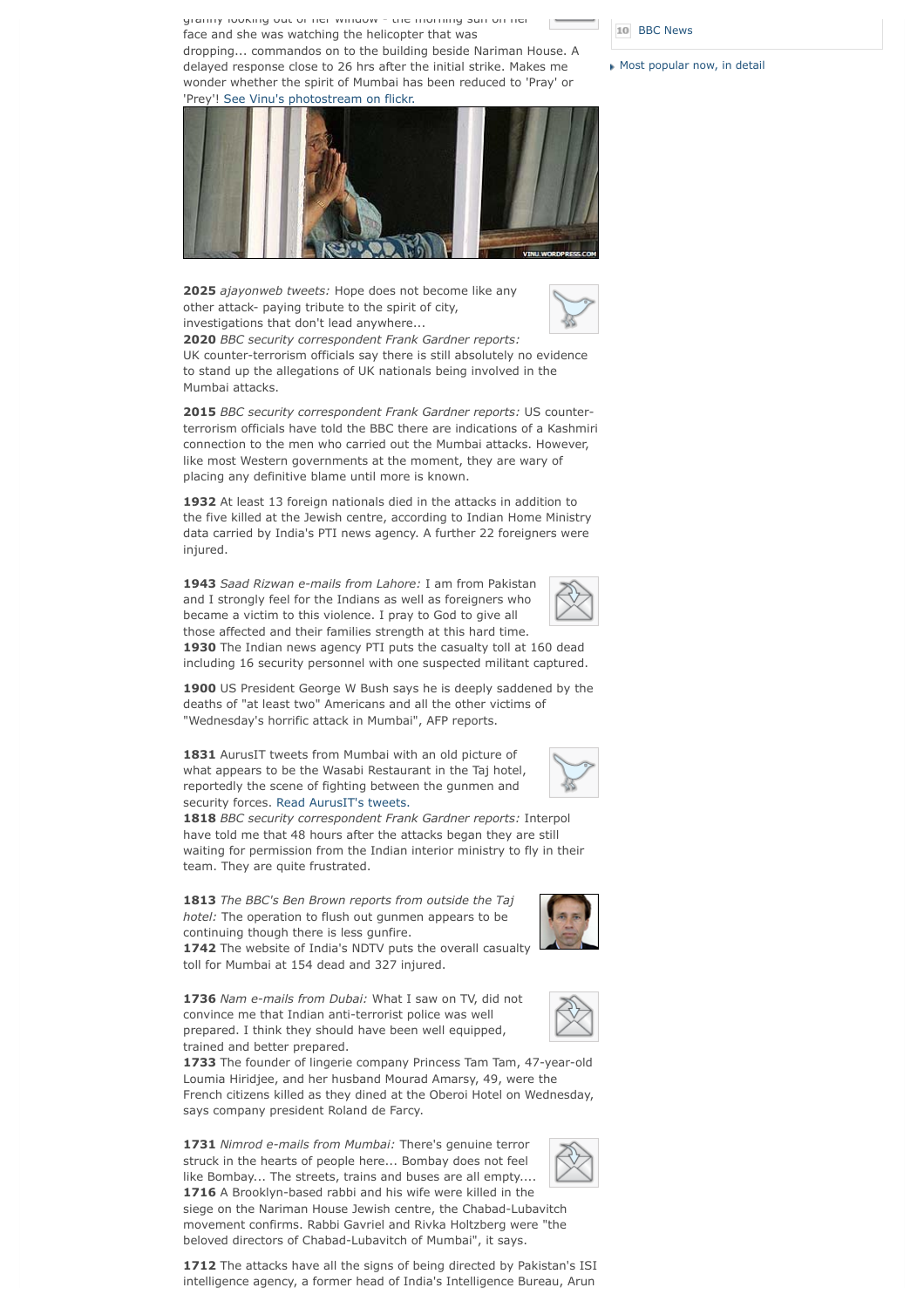granny looking out of her window - the morning sun on her face and she was watching the helicopter that was

dropping... commandos on to the building beside Nariman House. A delayed response close to 26 hrs after the initial strike. Makes me wonder whether the spirit of Mumbai has been reduced to 'Pray' or 'Prey'! [See Vinu's photostream on flickr.](http://www.flickr.com/photos/vinu/)

**2025** *ajayonweb tweets:* Hope does not become like any other attack- paying tribute to the spirit of city, investigations that don't lead anywhere...

**2020** *BBC security correspondent Frank Gardner reports:* UK counter-terrorism officials say there is still absolutely no evidence to stand up the allegations of UK nationals being involved in the Mumbai attacks.

**2015** *BBC security correspondent Frank Gardner reports:* US counterterrorism officials have told the BBC there are indications of a Kashmiri connection to the men who carried out the Mumbai attacks. However, like most Western governments at the moment, they are wary of placing any definitive blame until more is known.

**1932** At least 13 foreign nationals died in the attacks in addition to the five killed at the Jewish centre, according to Indian Home Ministry data carried by India's PTI news agency. A further 22 foreigners were injured.

**1943** *Saad Rizwan e-mails from Lahore:* I am from Pakistan and I strongly feel for the Indians as well as foreigners who became a victim to this violence. I pray to God to give all those affected and their families strength at this hard time.

**1930** The Indian news agency PTI puts the casualty toll at 160 dead including 16 security personnel with one suspected militant captured.

1900 US President George W Bush says he is deeply saddened by the deaths of "at least two" Americans and all the other victims of "Wednesday's horrific attack in Mumbai", AFP reports.

**1831** AurusIT tweets from Mumbai with an old picture of what appears to be the Wasabi Restaurant in the Taj hotel, reportedly the scene of fighting between the gunmen and security forces. [Read AurusIT's tweets.](http://twitter.com/AurusIT)

**1818** *BBC security correspondent Frank Gardner reports:* Interpol have told me that 48 hours after the attacks began they are still waiting for permission from the Indian interior ministry to fly in their team. They are quite frustrated.

**1813** *The BBC's Ben Brown reports from outside the Taj hotel:* The operation to flush out gunmen appears to be continuing though there is less gunfire.

1742 The website of India's NDTV puts the overall casualty toll for Mumbai at 154 dead and 327 injured.

**1736** *Nam e-mails from Dubai:* What I saw on TV, did not convince me that Indian anti-terrorist police was well prepared. I think they should have been well equipped, trained and better prepared.

**1733** The founder of lingerie company Princess Tam Tam, 47-year-old Loumia Hiridjee, and her husband Mourad Amarsy, 49, were the French citizens killed as they dined at the Oberoi Hotel on Wednesday, says company president Roland de Farcy.

**1731** *Nimrod e-mails from Mumbai:* There's genuine terror struck in the hearts of people here... Bombay does not feel like Bombay... The streets, trains and buses are all empty.... **1716** A Brooklyn-based rabbi and his wife were killed in the

siege on the Nariman House Jewish centre, the Chabad-Lubavitch movement confirms. Rabbi Gavriel and Rivka Holtzberg were "the beloved directors of Chabad-Lubavitch of Mumbai", it says.

1712 The attacks have all the signs of being directed by Pakistan's ISI intelligence agency, a former head of India's Intelligence Bureau, Arun



[Most popular now, in detail](http://news.bbc.co.uk/1/shared/bsp/hi/live_stats/html/map.stm)





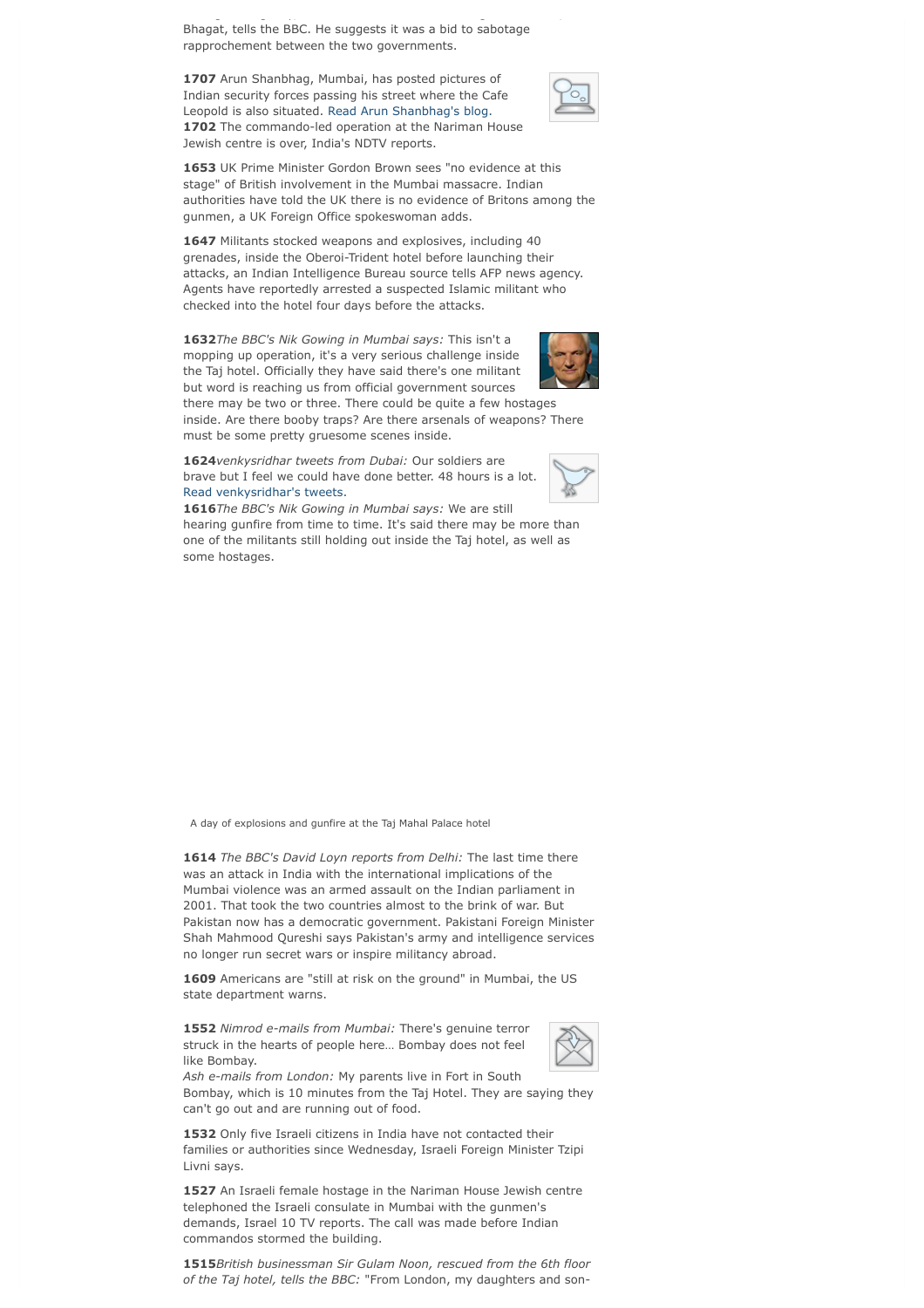Bhagat, tells the BBC. He suggests it was a bid to sabotage rapprochement between the two governments.

intelligence agency, a former head of India's Intelligence Bureau, Arun

**1707** Arun Shanbhag, Mumbai, has posted pictures of Indian security forces passing his street where the Cafe Leopold is also situated. [Read Arun Shanbhag's blog.](http://arunshanbhag.com/) **1702** The commando-led operation at the Nariman House Jewish centre is over, India's NDTV reports.



**1653** UK Prime Minister Gordon Brown sees "no evidence at this stage" of British involvement in the Mumbai massacre. Indian authorities have told the UK there is no evidence of Britons among the gunmen, a UK Foreign Office spokeswoman adds.

1647 Militants stocked weapons and explosives, including 40 grenades, inside the Oberoi-Trident hotel before launching their attacks, an Indian Intelligence Bureau source tells AFP news agency. Agents have reportedly arrested a suspected Islamic militant who checked into the hotel four days before the attacks.

**1632***The BBC's Nik Gowing in Mumbai says:* This isn't a mopping up operation, it's a very serious challenge inside the Taj hotel. Officially they have said there's one militant but word is reaching us from official government sources there may be two or three. There could be quite a few hostages



inside. Are there booby traps? Are there arsenals of weapons? There must be some pretty gruesome scenes inside.

**1624***venkysridhar tweets from Dubai:* Our soldiers are brave but I feel we could have done better. 48 hours is a lot. [Read venkysridhar's tweets.](http://twitter.com/venkysridhar)



**1616***The BBC's Nik Gowing in Mumbai says:* We are still hearing gunfire from time to time. It's said there may be more than one of the militants still holding out inside the Taj hotel, as well as some hostages.

A day of explosions and gunfire at the Taj Mahal Palace hotel

**1614** *The BBC's David Loyn reports from Delhi:* The last time there was an attack in India with the international implications of the Mumbai violence was an armed assault on the Indian parliament in 2001. That took the two countries almost to the brink of war. But Pakistan now has a democratic government. Pakistani Foreign Minister Shah Mahmood Qureshi says Pakistan's army and intelligence services no longer run secret wars or inspire militancy abroad.

**1609** Americans are "still at risk on the ground" in Mumbai, the US state department warns.



*Ash e-mails from London:* My parents live in Fort in South Bombay, which is 10 minutes from the Taj Hotel. They are saying they can't go out and are running out of food.

**1532** Only five Israeli citizens in India have not contacted their families or authorities since Wednesday, Israeli Foreign Minister Tzipi Livni says.

**1527** An Israeli female hostage in the Nariman House Jewish centre telephoned the Israeli consulate in Mumbai with the gunmen's demands, Israel 10 TV reports. The call was made before Indian commandos stormed the building.

**1515***British businessman Sir Gulam Noon, rescued from the 6th floor of the Taj hotel, tells the BBC:* "From London, my daughters and son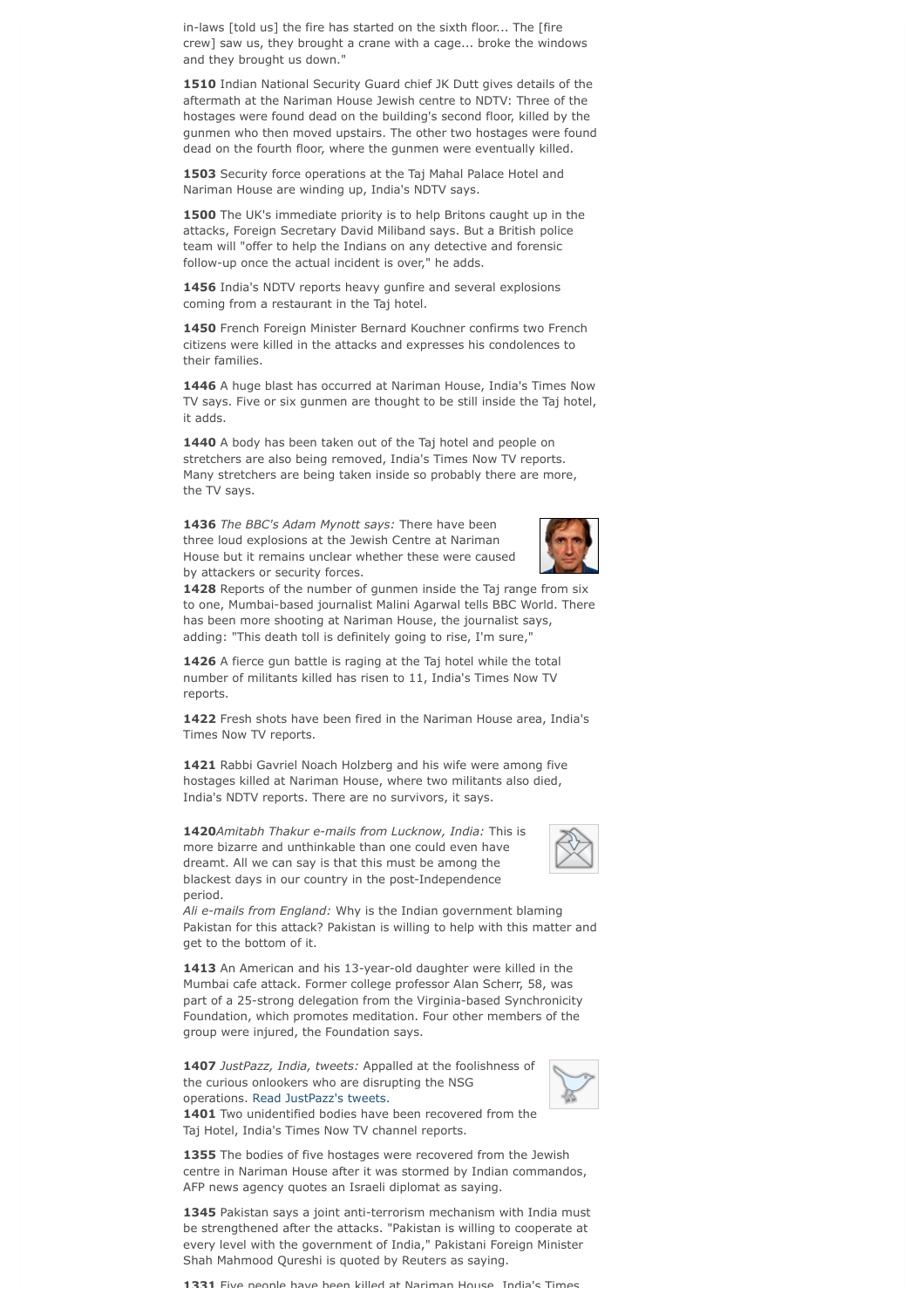in-laws [told us] the fire has started on the sixth floor... The [fire crew] saw us, they brought a crane with a cage... broke the windows and they brought us down."

**1510** Indian National Security Guard chief JK Dutt gives details of the aftermath at the Nariman House Jewish centre to NDTV: Three of the hostages were found dead on the building's second floor, killed by the gunmen who then moved upstairs. The other two hostages were found dead on the fourth floor, where the gunmen were eventually killed.

**1503** Security force operations at the Taj Mahal Palace Hotel and Nariman House are winding up, India's NDTV says.

**1500** The UK's immediate priority is to help Britons caught up in the attacks, Foreign Secretary David Miliband says. But a British police team will "offer to help the Indians on any detective and forensic follow-up once the actual incident is over," he adds.

**1456** India's NDTV reports heavy gunfire and several explosions coming from a restaurant in the Taj hotel.

**1450** French Foreign Minister Bernard Kouchner confirms two French citizens were killed in the attacks and expresses his condolences to their families.

**1446** A huge blast has occurred at Nariman House, India's Times Now TV says. Five or six gunmen are thought to be still inside the Taj hotel, it adds.

**1440** A body has been taken out of the Taj hotel and people on stretchers are also being removed, India's Times Now TV reports. Many stretchers are being taken inside so probably there are more, the TV says.

**1436** *The BBC's Adam Mynott says:* There have been three loud explosions at the Jewish Centre at Nariman House but it remains unclear whether these were caused by attackers or security forces.



1428 Reports of the number of gunmen inside the Taj range from six to one, Mumbai-based journalist Malini Agarwal tells BBC World. There has been more shooting at Nariman House, the journalist says, adding: "This death toll is definitely going to rise, I'm sure,"

**1426** A fierce gun battle is raging at the Taj hotel while the total number of militants killed has risen to 11, India's Times Now TV reports.

**1422** Fresh shots have been fired in the Nariman House area, India's Times Now TV reports.

1421 Rabbi Gavriel Noach Holzberg and his wife were among five hostages killed at Nariman House, where two militants also died, India's NDTV reports. There are no survivors, it says.

**1420***Amitabh Thakur e-mails from Lucknow, India:* This is more bizarre and unthinkable than one could even have dreamt. All we can say is that this must be among the blackest days in our country in the post-Independence period.



*Ali e-mails from England:* Why is the Indian government blaming Pakistan for this attack? Pakistan is willing to help with this matter and get to the bottom of it.

**1413** An American and his 13-year-old daughter were killed in the Mumbai cafe attack. Former college professor Alan Scherr, 58, was part of a 25-strong delegation from the Virginia-based Synchronicity Foundation, which promotes meditation. Four other members of the group were injured, the Foundation says.

**1407** *JustPazz, India, tweets:* Appalled at the foolishness of the curious onlookers who are disrupting the NSG operations. [Read JustPazz's tweets.](http://twitter.com/JustPazz)



**1401** Two unidentified bodies have been recovered from the Taj Hotel, India's Times Now TV channel reports.

1355 The bodies of five hostages were recovered from the Jewish centre in Nariman House after it was stormed by Indian commandos, AFP news agency quotes an Israeli diplomat as saying.

**1345** Pakistan says a joint anti-terrorism mechanism with India must be strengthened after the attacks. "Pakistan is willing to cooperate at every level with the government of India," Pakistani Foreign Minister Shah Mahmood Qureshi is quoted by Reuters as saying.

**1331** Five people have been killed at Nariman House, India's Times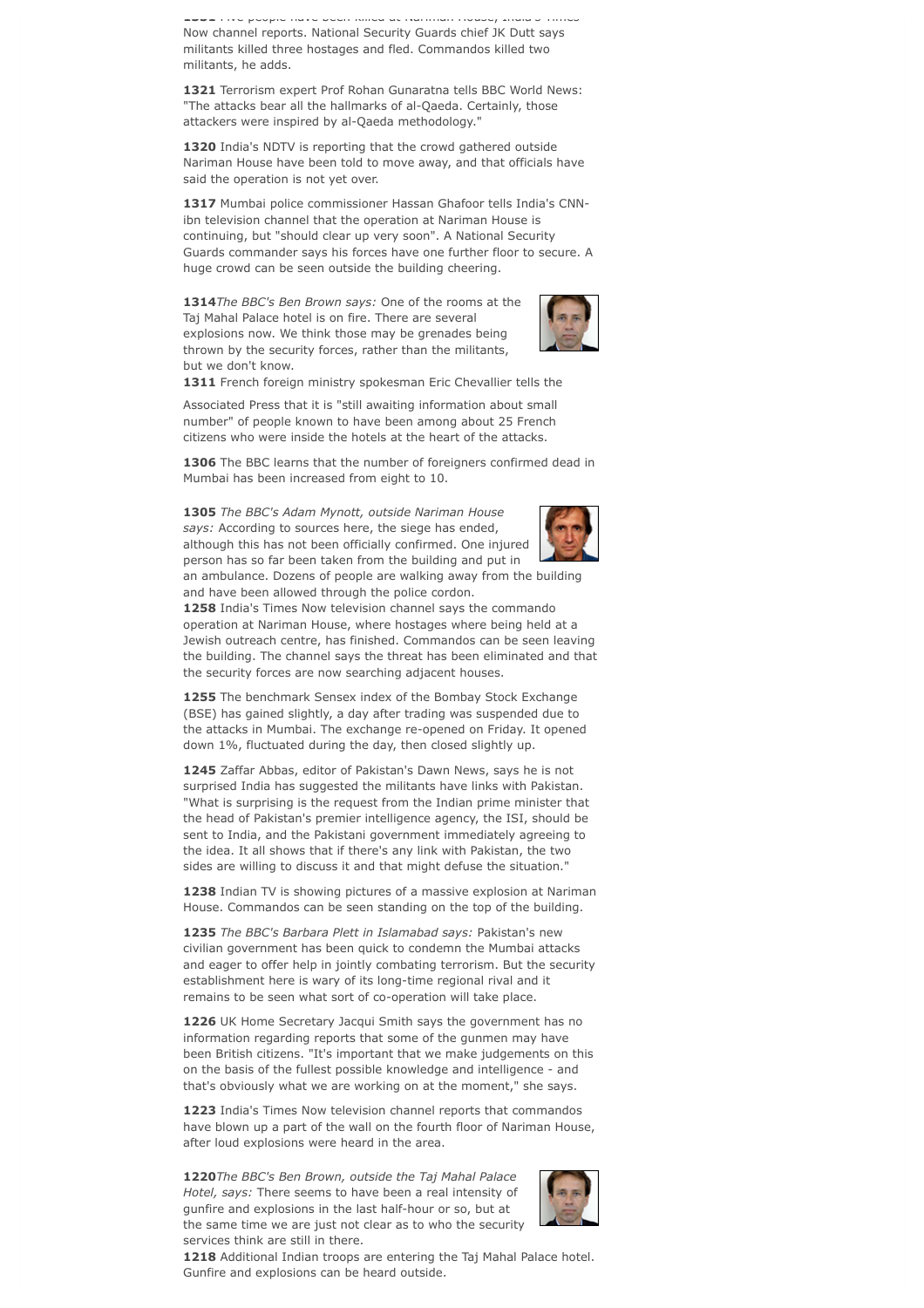**1331** Five people have been killed at Nariman House, India's Times Now channel reports. National Security Guards chief JK Dutt says militants killed three hostages and fled. Commandos killed two militants, he adds.

**1321** Terrorism expert Prof Rohan Gunaratna tells BBC World News: "The attacks bear all the hallmarks of al-Qaeda. Certainly, those attackers were inspired by al-Qaeda methodology."

**1320** India's NDTV is reporting that the crowd gathered outside Nariman House have been told to move away, and that officials have said the operation is not yet over.

1317 Mumbai police commissioner Hassan Ghafoor tells India's CNNibn television channel that the operation at Nariman House is continuing, but "should clear up very soon". A National Security Guards commander says his forces have one further floor to secure. A huge crowd can be seen outside the building cheering.

**1314***The BBC's Ben Brown says:* One of the rooms at the Taj Mahal Palace hotel is on fire. There are several explosions now. We think those may be grenades being thrown by the security forces, rather than the militants, but we don't know.



1311 French foreign ministry spokesman Eric Chevallier tells the

Associated Press that it is "still awaiting information about small number" of people known to have been among about 25 French citizens who were inside the hotels at the heart of the attacks.

1306 The BBC learns that the number of foreigners confirmed dead in Mumbai has been increased from eight to 10.

**1305** *The BBC's Adam Mynott, outside Nariman House says:* According to sources here, the siege has ended, although this has not been officially confirmed. One injured person has so far been taken from the building and put in an ambulance. Dozens of people are walking away from the building and have been allowed through the police cordon.



**1258** India's Times Now television channel says the commando operation at Nariman House, where hostages where being held at a Jewish outreach centre, has finished. Commandos can be seen leaving the building. The channel says the threat has been eliminated and that the security forces are now searching adjacent houses.

**1255** The benchmark Sensex index of the Bombay Stock Exchange (BSE) has gained slightly, a day after trading was suspended due to the attacks in Mumbai. The exchange re-opened on Friday. It opened down 1%, fluctuated during the day, then closed slightly up.

**1245** Zaffar Abbas, editor of Pakistan's Dawn News, says he is not surprised India has suggested the militants have links with Pakistan. "What is surprising is the request from the Indian prime minister that the head of Pakistan's premier intelligence agency, the ISI, should be sent to India, and the Pakistani government immediately agreeing to the idea. It all shows that if there's any link with Pakistan, the two sides are willing to discuss it and that might defuse the situation."

**1238** Indian TV is showing pictures of a massive explosion at Nariman House. Commandos can be seen standing on the top of the building.

**1235** *The BBC's Barbara Plett in Islamabad says:* Pakistan's new civilian government has been quick to condemn the Mumbai attacks and eager to offer help in jointly combating terrorism. But the security establishment here is wary of its long-time regional rival and it remains to be seen what sort of co-operation will take place.

**1226** UK Home Secretary Jacqui Smith says the government has no information regarding reports that some of the gunmen may have been British citizens. "It's important that we make judgements on this on the basis of the fullest possible knowledge and intelligence - and that's obviously what we are working on at the moment," she says.

**1223** India's Times Now television channel reports that commandos have blown up a part of the wall on the fourth floor of Nariman House, after loud explosions were heard in the area.

**1220***The BBC's Ben Brown, outside the Taj Mahal Palace Hotel, says:* There seems to have been a real intensity of gunfire and explosions in the last half-hour or so, but at the same time we are just not clear as to who the security services think are still in there.



**1218** Additional Indian troops are entering the Taj Mahal Palace hotel. Gunfire and explosions can be heard outside.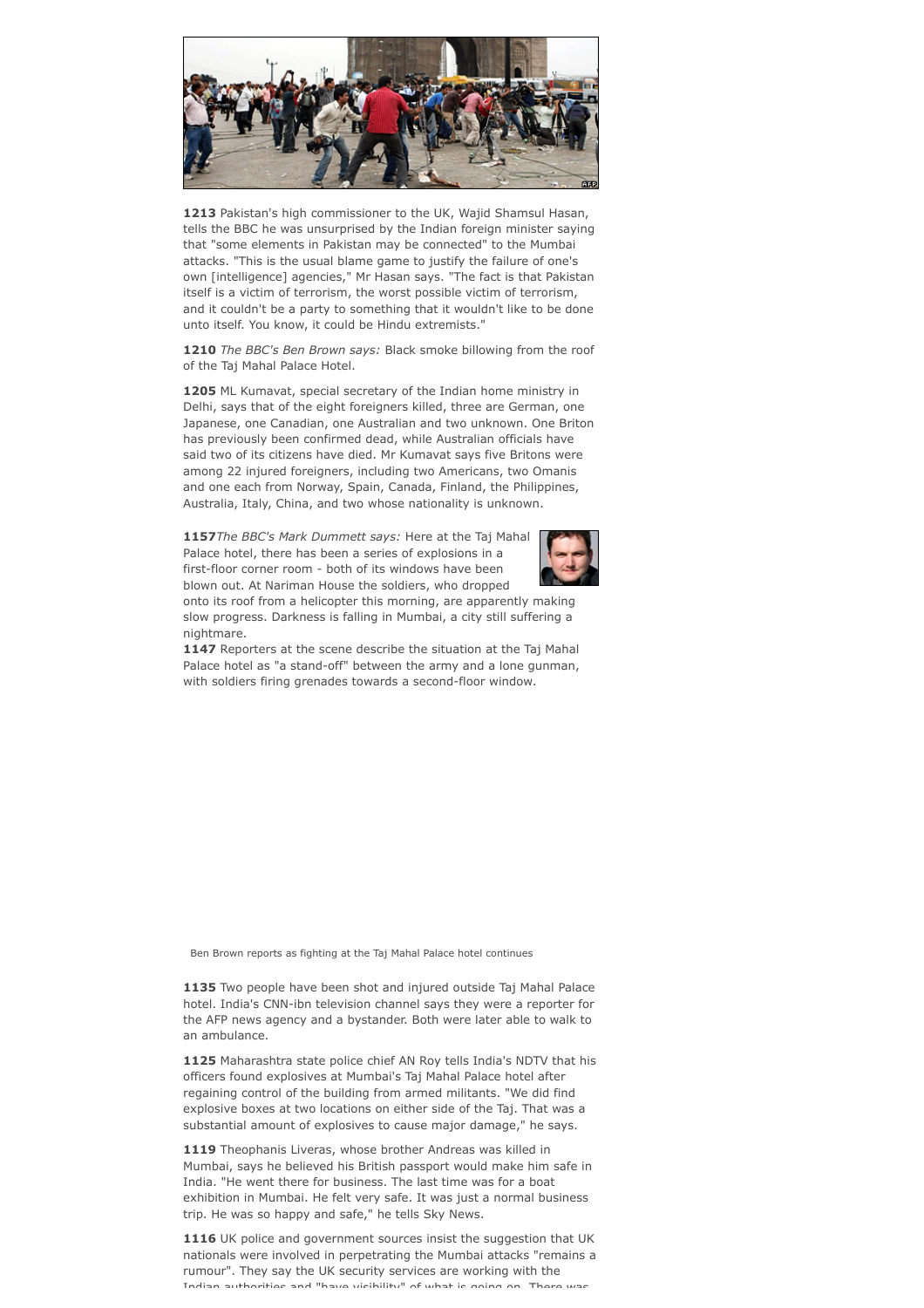

**1213** Pakistan's high commissioner to the UK, Wajid Shamsul Hasan, tells the BBC he was unsurprised by the Indian foreign minister saying that "some elements in Pakistan may be connected" to the Mumbai attacks. "This is the usual blame game to justify the failure of one's own [intelligence] agencies," Mr Hasan says. "The fact is that Pakistan itself is a victim of terrorism, the worst possible victim of terrorism, and it couldn't be a party to something that it wouldn't like to be done unto itself. You know, it could be Hindu extremists."

**1210** *The BBC's Ben Brown says:* Black smoke billowing from the roof of the Taj Mahal Palace Hotel.

**1205** ML Kumavat, special secretary of the Indian home ministry in Delhi, says that of the eight foreigners killed, three are German, one Japanese, one Canadian, one Australian and two unknown. One Briton has previously been confirmed dead, while Australian officials have said two of its citizens have died. Mr Kumavat says five Britons were among 22 injured foreigners, including two Americans, two Omanis and one each from Norway, Spain, Canada, Finland, the Philippines, Australia, Italy, China, and two whose nationality is unknown.

**1157***The BBC's Mark Dummett says:* Here at the Taj Mahal Palace hotel, there has been a series of explosions in a first-floor corner room - both of its windows have been blown out. At Nariman House the soldiers, who dropped



onto its roof from a helicopter this morning, are apparently making slow progress. Darkness is falling in Mumbai, a city still suffering a nightmare.

1147 Reporters at the scene describe the situation at the Taj Mahal Palace hotel as "a stand-off" between the army and a lone gunman, with soldiers firing grenades towards a second-floor window.

Ben Brown reports as fighting at the Taj Mahal Palace hotel continues

**1135** Two people have been shot and injured outside Taj Mahal Palace hotel. India's CNN-ibn television channel says they were a reporter for the AFP news agency and a bystander. Both were later able to walk to an ambulance.

**1125** Maharashtra state police chief AN Roy tells India's NDTV that his officers found explosives at Mumbai's Taj Mahal Palace hotel after regaining control of the building from armed militants. "We did find explosive boxes at two locations on either side of the Taj. That was a substantial amount of explosives to cause major damage," he says.

1119 Theophanis Liveras, whose brother Andreas was killed in Mumbai, says he believed his British passport would make him safe in India. "He went there for business. The last time was for a boat exhibition in Mumbai. He felt very safe. It was just a normal business trip. He was so happy and safe," he tells Sky News.

1116 UK police and government sources insist the suggestion that UK nationals were involved in perpetrating the Mumbai attacks "remains a rumour". They say the UK security services are working with the Indian authorities and "have visibility" of what is going on. There was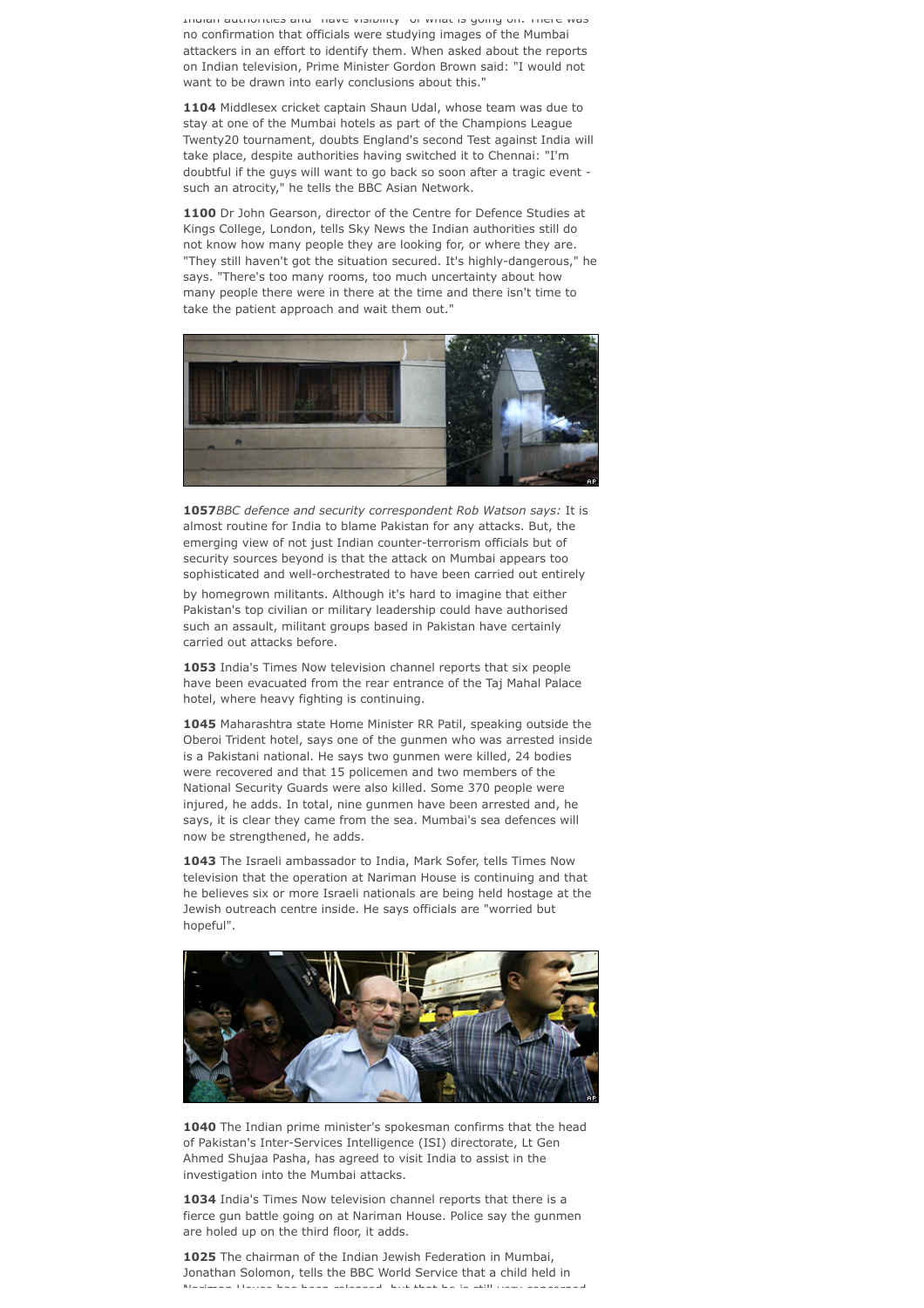Indian authorities and "have visibility" of what is going on. There was no confirmation that officials were studying images of the Mumbai attackers in an effort to identify them. When asked about the reports on Indian television, Prime Minister Gordon Brown said: "I would not want to be drawn into early conclusions about this."

**1104** Middlesex cricket captain Shaun Udal, whose team was due to stay at one of the Mumbai hotels as part of the Champions League Twenty20 tournament, doubts England's second Test against India will take place, despite authorities having switched it to Chennai: "I'm doubtful if the guys will want to go back so soon after a tragic event such an atrocity," he tells the BBC Asian Network.

**1100** Dr John Gearson, director of the Centre for Defence Studies at Kings College, London, tells Sky News the Indian authorities still do not know how many people they are looking for, or where they are. "They still haven't got the situation secured. It's highly-dangerous," he says. "There's too many rooms, too much uncertainty about how many people there were in there at the time and there isn't time to take the patient approach and wait them out."



**1057***BBC defence and security correspondent Rob Watson says:* It is almost routine for India to blame Pakistan for any attacks. But, the emerging view of not just Indian counter-terrorism officials but of security sources beyond is that the attack on Mumbai appears too sophisticated and well-orchestrated to have been carried out entirely

by homegrown militants. Although it's hard to imagine that either Pakistan's top civilian or military leadership could have authorised such an assault, militant groups based in Pakistan have certainly carried out attacks before.

**1053** India's Times Now television channel reports that six people have been evacuated from the rear entrance of the Taj Mahal Palace hotel, where heavy fighting is continuing.

**1045** Maharashtra state Home Minister RR Patil, speaking outside the Oberoi Trident hotel, says one of the gunmen who was arrested inside is a Pakistani national. He says two gunmen were killed, 24 bodies were recovered and that 15 policemen and two members of the National Security Guards were also killed. Some 370 people were injured, he adds. In total, nine gunmen have been arrested and, he says, it is clear they came from the sea. Mumbai's sea defences will now be strengthened, he adds.

**1043** The Israeli ambassador to India, Mark Sofer, tells Times Now television that the operation at Nariman House is continuing and that he believes six or more Israeli nationals are being held hostage at the Jewish outreach centre inside. He says officials are "worried but hopeful".



**1040** The Indian prime minister's spokesman confirms that the head of Pakistan's Inter-Services Intelligence (ISI) directorate, Lt Gen Ahmed Shujaa Pasha, has agreed to visit India to assist in the investigation into the Mumbai attacks.

**1034** India's Times Now television channel reports that there is a fierce gun battle going on at Nariman House. Police say the gunmen are holed up on the third floor, it adds.

**1025** The chairman of the Indian Jewish Federation in Mumbai, Jonathan Solomon, tells the BBC World Service that a child held in Nariman House has been released, but that he is still very concerned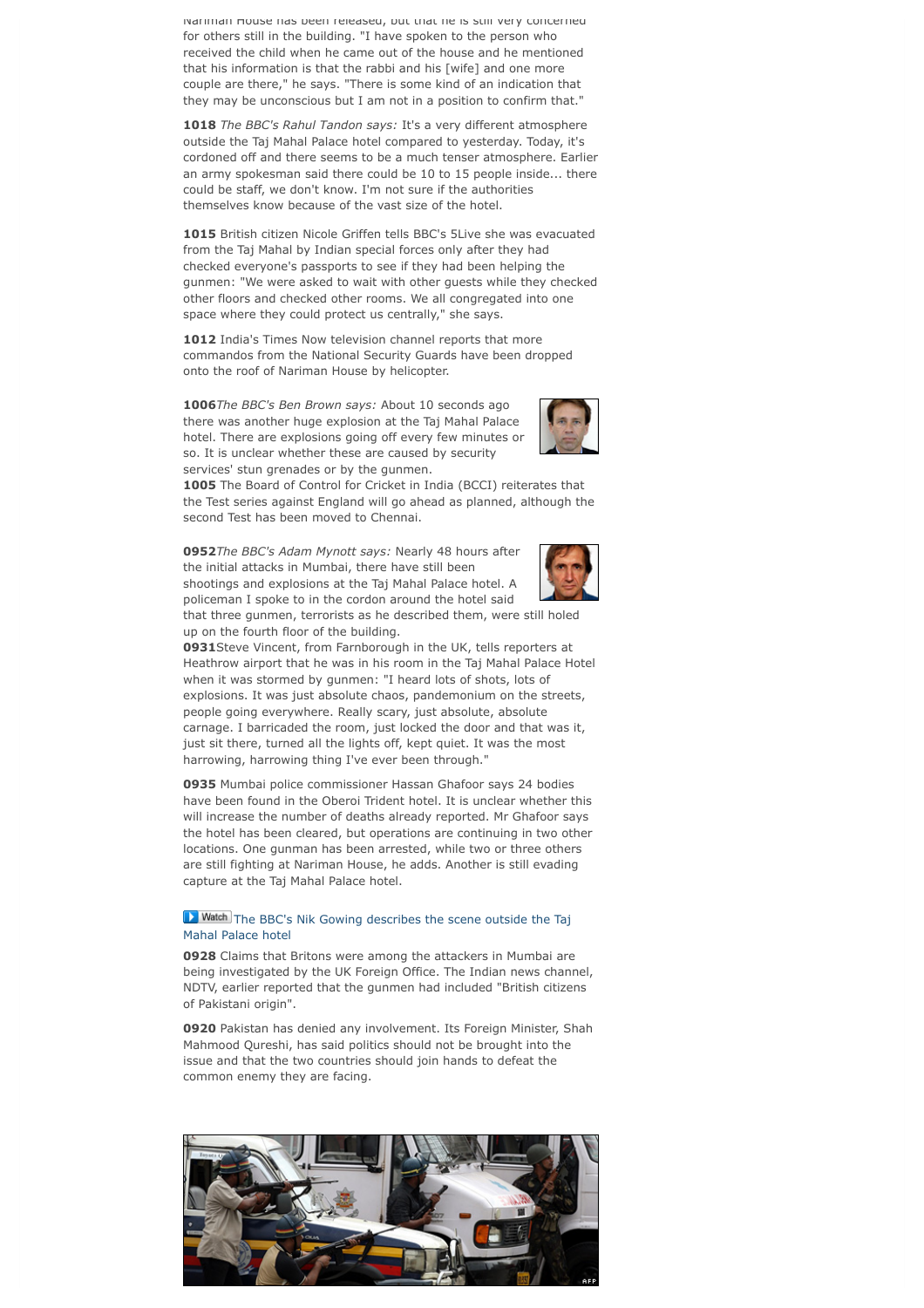Nariman House has been released, but that he is still very concerned for others still in the building. "I have spoken to the person who received the child when he came out of the house and he mentioned that his information is that the rabbi and his [wife] and one more couple are there," he says. "There is some kind of an indication that they may be unconscious but I am not in a position to confirm that."

**1018** *The BBC's Rahul Tandon says:* It's a very different atmosphere outside the Taj Mahal Palace hotel compared to yesterday. Today, it's cordoned off and there seems to be a much tenser atmosphere. Earlier an army spokesman said there could be 10 to 15 people inside... there could be staff, we don't know. I'm not sure if the authorities themselves know because of the vast size of the hotel.

**1015** British citizen Nicole Griffen tells BBC's 5Live she was evacuated from the Taj Mahal by Indian special forces only after they had checked everyone's passports to see if they had been helping the gunmen: "We were asked to wait with other guests while they checked other floors and checked other rooms. We all congregated into one space where they could protect us centrally," she says.

**1012** India's Times Now television channel reports that more commandos from the National Security Guards have been dropped onto the roof of Nariman House by helicopter.

**1006***The BBC's Ben Brown says:* About 10 seconds ago there was another huge explosion at the Taj Mahal Palace hotel. There are explosions going off every few minutes or so. It is unclear whether these are caused by security services' stun grenades or by the gunmen.



**1005** The Board of Control for Cricket in India (BCCI) reiterates that the Test series against England will go ahead as planned, although the second Test has been moved to Chennai.

**0952***The BBC's Adam Mynott says:* Nearly 48 hours after the initial attacks in Mumbai, there have still been shootings and explosions at the Taj Mahal Palace hotel. A policeman I spoke to in the cordon around the hotel said



that three gunmen, terrorists as he described them, were still holed up on the fourth floor of the building.

**0931**Steve Vincent, from Farnborough in the UK, tells reporters at Heathrow airport that he was in his room in the Taj Mahal Palace Hotel when it was stormed by gunmen: "I heard lots of shots, lots of explosions. It was just absolute chaos, pandemonium on the streets, people going everywhere. Really scary, just absolute, absolute carnage. I barricaded the room, just locked the door and that was it, just sit there, turned all the lights off, kept quiet. It was the most harrowing, harrowing thing I've ever been through."

**0935** Mumbai police commissioner Hassan Ghafoor says 24 bodies have been found in the Oberoi Trident hotel. It is unclear whether this will increase the number of deaths already reported. Mr Ghafoor says the hotel has been cleared, but operations are continuing in two other locations. One gunman has been arrested, while two or three others are still fighting at Nariman House, he adds. Another is still evading capture at the Taj Mahal Palace hotel.

# **[The BBC's Nik Gowing describes the scene outside the Taj](http://news.bbc.co.uk/2/hi/south_asia/7754049.stm)** Mahal Palace hotel

**0928** Claims that Britons were among the attackers in Mumbai are being investigated by the UK Foreign Office. The Indian news channel, NDTV, earlier reported that the gunmen had included "British citizens of Pakistani origin".

**0920** Pakistan has denied any involvement. Its Foreign Minister, Shah Mahmood Qureshi, has said politics should not be brought into the issue and that the two countries should join hands to defeat the common enemy they are facing.

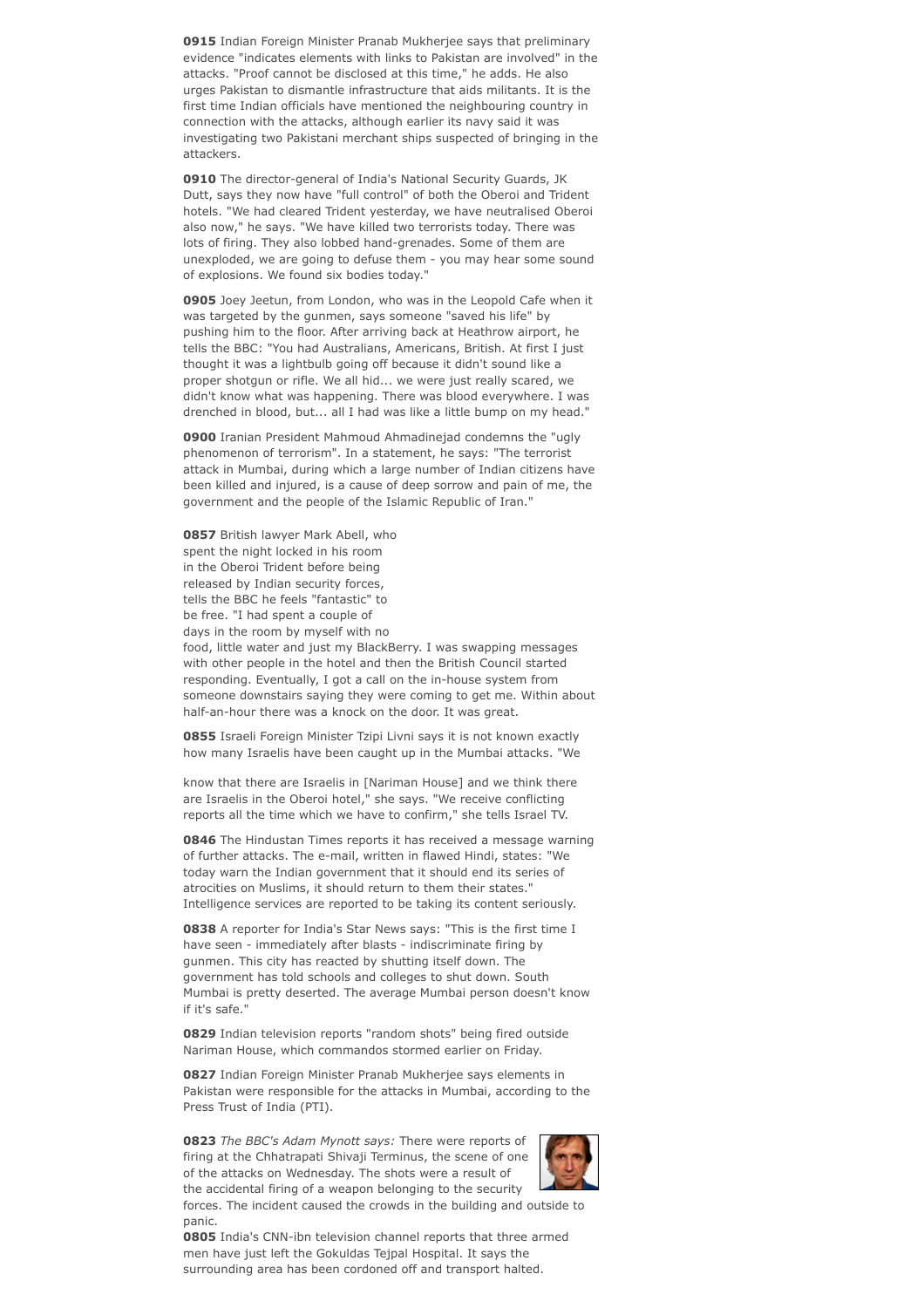**0915** Indian Foreign Minister Pranab Mukherjee says that preliminary evidence "indicates elements with links to Pakistan are involved" in the attacks. "Proof cannot be disclosed at this time," he adds. He also urges Pakistan to dismantle infrastructure that aids militants. It is the first time Indian officials have mentioned the neighbouring country in connection with the attacks, although earlier its navy said it was investigating two Pakistani merchant ships suspected of bringing in the attackers.

**0910** The director-general of India's National Security Guards, JK Dutt, says they now have "full control" of both the Oberoi and Trident hotels. "We had cleared Trident yesterday, we have neutralised Oberoi also now," he says. "We have killed two terrorists today. There was lots of firing. They also lobbed hand-grenades. Some of them are unexploded, we are going to defuse them - you may hear some sound of explosions. We found six bodies today."

**0905** Joey Jeetun, from London, who was in the Leopold Cafe when it was targeted by the gunmen, says someone "saved his life" by pushing him to the floor. After arriving back at Heathrow airport, he tells the BBC: "You had Australians, Americans, British. At first I just thought it was a lightbulb going off because it didn't sound like a proper shotgun or rifle. We all hid... we were just really scared, we didn't know what was happening. There was blood everywhere. I was drenched in blood, but... all I had was like a little bump on my head."

**0900** Iranian President Mahmoud Ahmadinejad condemns the "ugly phenomenon of terrorism". In a statement, he says: "The terrorist attack in Mumbai, during which a large number of Indian citizens have been killed and injured, is a cause of deep sorrow and pain of me, the government and the people of the Islamic Republic of Iran."

**0857** British lawyer Mark Abell, who spent the night locked in his room in the Oberoi Trident before being released by Indian security forces, tells the BBC he feels "fantastic" to be free. "I had spent a couple of days in the room by myself with no food, little water and just my BlackBerry. I was swapping messages with other people in the hotel and then the British Council started responding. Eventually, I got a call on the in-house system from someone downstairs saying they were coming to get me. Within about half-an-hour there was a knock on the door. It was great.

**0855** Israeli Foreign Minister Tzipi Livni says it is not known exactly how many Israelis have been caught up in the Mumbai attacks. "We

know that there are Israelis in [Nariman House] and we think there are Israelis in the Oberoi hotel," she says. "We receive conflicting reports all the time which we have to confirm," she tells Israel TV.

**0846** The Hindustan Times reports it has received a message warning of further attacks. The e-mail, written in flawed Hindi, states: "We today warn the Indian government that it should end its series of atrocities on Muslims, it should return to them their states." Intelligence services are reported to be taking its content seriously.

**0838** A reporter for India's Star News says: "This is the first time I have seen - immediately after blasts - indiscriminate firing by gunmen. This city has reacted by shutting itself down. The government has told schools and colleges to shut down. South Mumbai is pretty deserted. The average Mumbai person doesn't know if it's safe."

**0829** Indian television reports "random shots" being fired outside Nariman House, which commandos stormed earlier on Friday.

**0827** Indian Foreign Minister Pranab Mukherjee says elements in Pakistan were responsible for the attacks in Mumbai, according to the Press Trust of India (PTI).

**0823** *The BBC's Adam Mynott says:* There were reports of firing at the Chhatrapati Shivaji Terminus, the scene of one of the attacks on Wednesday. The shots were a result of the accidental firing of a weapon belonging to the security



forces. The incident caused the crowds in the building and outside to panic. **0805** India's CNN-ibn television channel reports that three armed

men have just left the Gokuldas Tejpal Hospital. It says the surrounding area has been cordoned off and transport halted.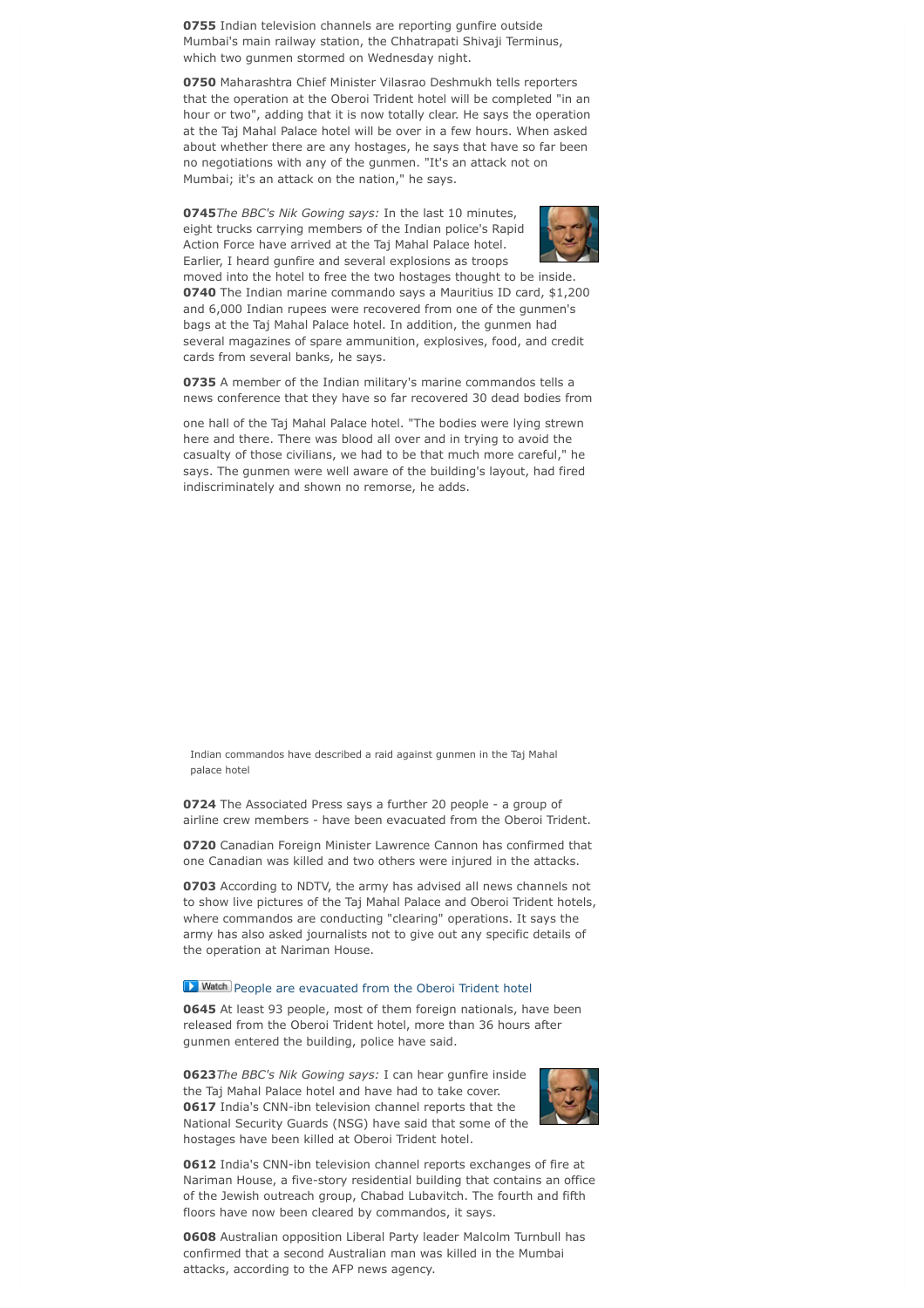**0755** Indian television channels are reporting gunfire outside Mumbai's main railway station, the Chhatrapati Shivaji Terminus, which two gunmen stormed on Wednesday night.

**0750** Maharashtra Chief Minister Vilasrao Deshmukh tells reporters that the operation at the Oberoi Trident hotel will be completed "in an hour or two", adding that it is now totally clear. He says the operation at the Taj Mahal Palace hotel will be over in a few hours. When asked about whether there are any hostages, he says that have so far been no negotiations with any of the gunmen. "It's an attack not on Mumbai; it's an attack on the nation," he says.

**0745***The BBC's Nik Gowing says:* In the last 10 minutes, eight trucks carrying members of the Indian police's Rapid Action Force have arrived at the Taj Mahal Palace hotel. Earlier, I heard gunfire and several explosions as troops



moved into the hotel to free the two hostages thought to be inside. **0740** The Indian marine commando says a Mauritius ID card, \$1,200 and 6,000 Indian rupees were recovered from one of the gunmen's bags at the Taj Mahal Palace hotel. In addition, the gunmen had several magazines of spare ammunition, explosives, food, and credit cards from several banks, he says.

**0735** A member of the Indian military's marine commandos tells a news conference that they have so far recovered 30 dead bodies from

one hall of the Taj Mahal Palace hotel. "The bodies were lying strewn here and there. There was blood all over and in trying to avoid the casualty of those civilians, we had to be that much more careful," he says. The gunmen were well aware of the building's layout, had fired indiscriminately and shown no remorse, he adds.

Indian commandos have described a raid against gunmen in the Taj Mahal palace hotel

**0724** The Associated Press says a further 20 people - a group of airline crew members - have been evacuated from the Oberoi Trident.

**0720** Canadian Foreign Minister Lawrence Cannon has confirmed that one Canadian was killed and two others were injured in the attacks.

**0703** According to NDTV, the army has advised all news channels not to show live pictures of the Taj Mahal Palace and Oberoi Trident hotels, where commandos are conducting "clearing" operations. It says the army has also asked journalists not to give out any specific details of the operation at Nariman House.

# **Panal [People are evacuated from the Oberoi Trident hotel](http://news.bbc.co.uk/2/hi/south_asia/7753810.stm)**

**0645** At least 93 people, most of them foreign nationals, have been released from the Oberoi Trident hotel, more than 36 hours after gunmen entered the building, police have said.

**0623***The BBC's Nik Gowing says:* I can hear gunfire inside the Taj Mahal Palace hotel and have had to take cover. **0617** India's CNN-ibn television channel reports that the National Security Guards (NSG) have said that some of the hostages have been killed at Oberoi Trident hotel.



**0612** India's CNN-ibn television channel reports exchanges of fire at Nariman House, a five-story residential building that contains an office of the Jewish outreach group, Chabad Lubavitch. The fourth and fifth floors have now been cleared by commandos, it says.

**0608** Australian opposition Liberal Party leader Malcolm Turnbull has confirmed that a second Australian man was killed in the Mumbai attacks, according to the AFP news agency.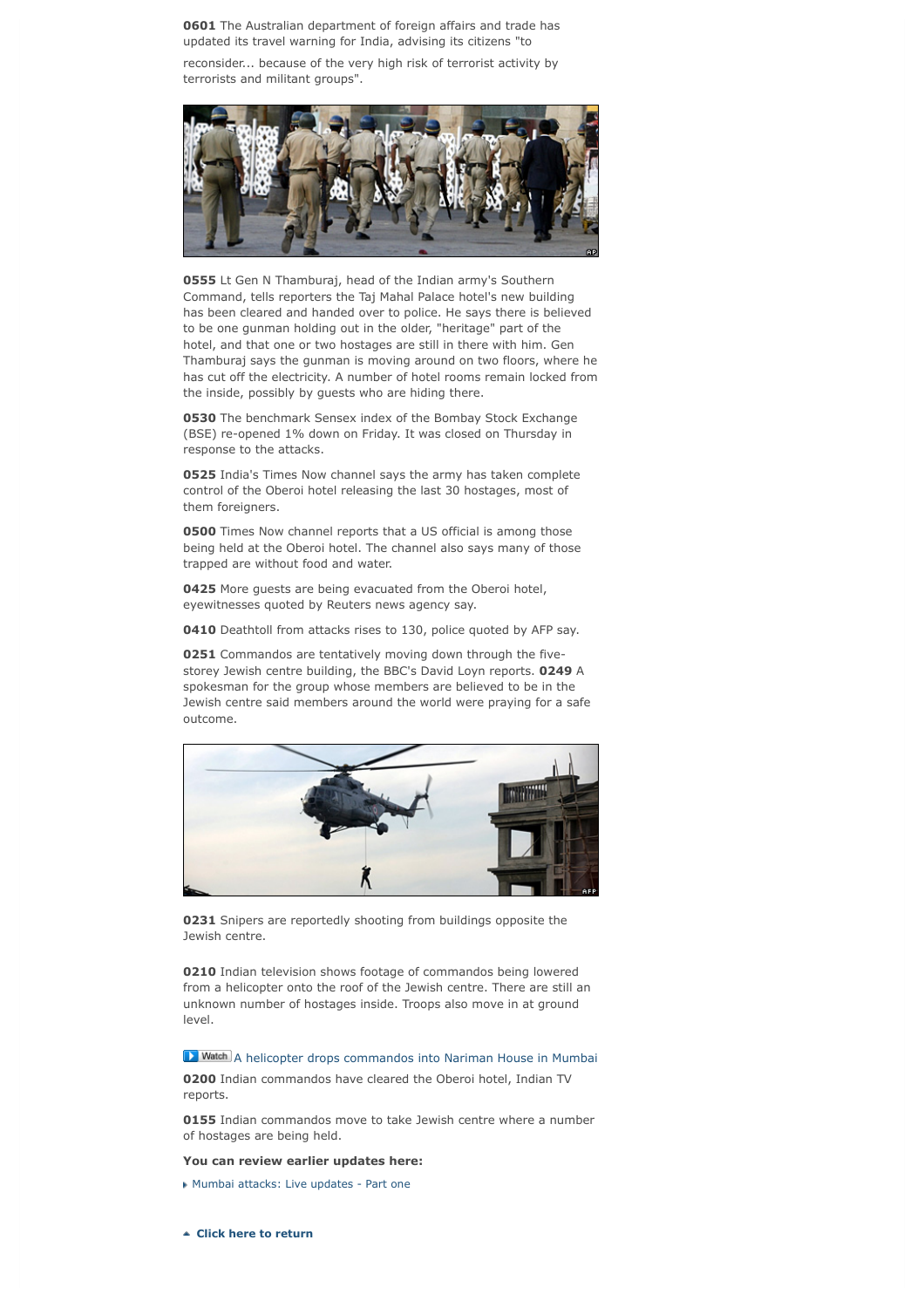**0601** The Australian department of foreign affairs and trade has updated its travel warning for India, advising its citizens "to reconsider... because of the very high risk of terrorist activity by terrorists and militant groups".



**0555** Lt Gen N Thamburaj, head of the Indian army's Southern Command, tells reporters the Taj Mahal Palace hotel's new building has been cleared and handed over to police. He says there is believed to be one gunman holding out in the older, "heritage" part of the hotel, and that one or two hostages are still in there with him. Gen Thamburaj says the gunman is moving around on two floors, where he has cut off the electricity. A number of hotel rooms remain locked from the inside, possibly by guests who are hiding there.

**0530** The benchmark Sensex index of the Bombay Stock Exchange (BSE) re-opened 1% down on Friday. It was closed on Thursday in response to the attacks.

**0525** India's Times Now channel says the army has taken complete control of the Oberoi hotel releasing the last 30 hostages, most of them foreigners.

**0500** Times Now channel reports that a US official is among those being held at the Oberoi hotel. The channel also says many of those trapped are without food and water.

**0425** More guests are being evacuated from the Oberoi hotel, eyewitnesses quoted by Reuters news agency say.

**0410** Deathtoll from attacks rises to 130, police quoted by AFP say.

**0251** Commandos are tentatively moving down through the fivestorey Jewish centre building, the BBC's David Loyn reports. **0249** A spokesman for the group whose members are believed to be in the Jewish centre said members around the world were praying for a safe outcome.



**0231** Snipers are reportedly shooting from buildings opposite the Jewish centre.

**0210** Indian television shows footage of commandos being lowered from a helicopter onto the roof of the Jewish centre. There are still an unknown number of hostages inside. Troops also move in at ground level.

[A helicopter drops commandos into Nariman House in Mumbai](http://news.bbc.co.uk/2/hi/south_asia/7753735.stm)

**0200** Indian commandos have cleared the Oberoi hotel, Indian TV reports.

**0155** Indian commandos move to take Jewish centre where a number of hostages are being held.

#### **You can review earlier updates here:**

- [Mumbai attacks: Live updates Part one](http://news.bbc.co.uk/2/hi/south_asia/7752003.stm)
- **[Click here to return](http://news.bbc.co.uk/2/hi/south_asia/7753639.stm#middle)**